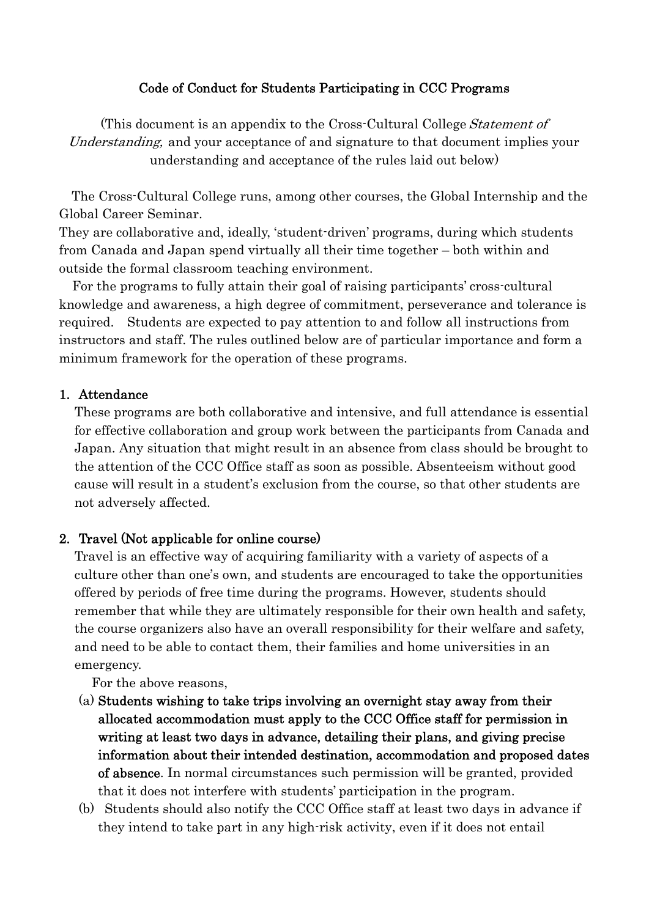## Code of Conduct for Students Participating in CCC Programs

(This document is an appendix to the Cross-Cultural College Statement of Understanding, and your acceptance of and signature to that document implies your understanding and acceptance of the rules laid out below)

 The Cross-Cultural College runs, among other courses, the Global Internship and the Global Career Seminar.

They are collaborative and, ideally, 'student-driven' programs, during which students from Canada and Japan spend virtually all their time together – both within and outside the formal classroom teaching environment.

 For the programs to fully attain their goal of raising participants' cross-cultural knowledge and awareness, a high degree of commitment, perseverance and tolerance is required. Students are expected to pay attention to and follow all instructions from instructors and staff. The rules outlined below are of particular importance and form a minimum framework for the operation of these programs.

### 1. Attendance

These programs are both collaborative and intensive, and full attendance is essential for effective collaboration and group work between the participants from Canada and Japan. Any situation that might result in an absence from class should be brought to the attention of the CCC Office staff as soon as possible. Absenteeism without good cause will result in a student's exclusion from the course, so that other students are not adversely affected.

### 2. Travel (Not applicable for online course)

Travel is an effective way of acquiring familiarity with a variety of aspects of a culture other than one's own, and students are encouraged to take the opportunities offered by periods of free time during the programs. However, students should remember that while they are ultimately responsible for their own health and safety, the course organizers also have an overall responsibility for their welfare and safety, and need to be able to contact them, their families and home universities in an emergency.

For the above reasons,

- (a) Students wishing to take trips involving an overnight stay away from their allocated accommodation must apply to the CCC Office staff for permission in writing at least two days in advance, detailing their plans, and giving precise information about their intended destination, accommodation and proposed dates of absence. In normal circumstances such permission will be granted, provided that it does not interfere with students' participation in the program.
- (b) Students should also notify the CCC Office staff at least two days in advance if they intend to take part in any high-risk activity, even if it does not entail